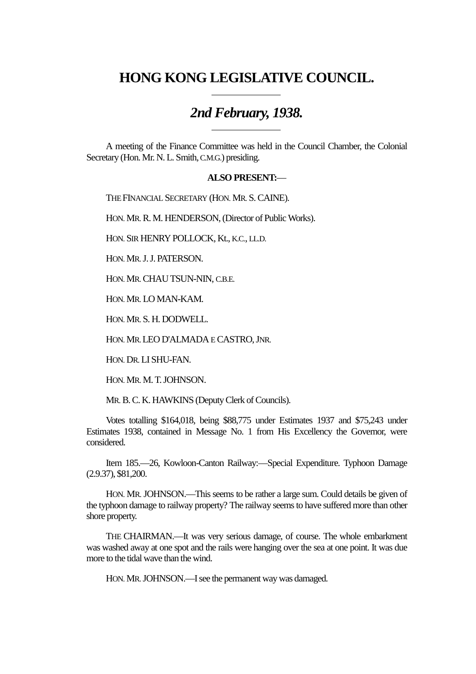## **HONG KONG LEGISLATIVE COUNCIL.**

## *2nd February, 1938.*

A meeting of the Finance Committee was held in the Council Chamber, the Colonial Secretary (Hon. Mr. N. L. Smith, C.M.G.) presiding.

## **ALSO PRESENT:**—

THE FINANCIAL SECRETARY (HON. MR. S. CAINE).

HON. MR. R. M. HENDERSON, (Director of Public Works).

 $\overline{a}$ 

l

HON. SIR HENRY POLLOCK, Kt., K.C., LL.D.

HON. MR. J. J. PATERSON.

HON. MR. CHAU TSUN-NIN, C.B.E.

HON. MR. LO MAN-KAM.

HON. MR. S. H. DODWELL.

HON. MR. LEO D'ALMADA E CASTRO, JNR.

HON. DR. LI SHU-FAN.

HON. MR. M. T. JOHNSON.

MR. B. C. K. HAWKINS (Deputy Clerk of Councils).

Votes totalling \$164,018, being \$88,775 under Estimates 1937 and \$75,243 under Estimates 1938, contained in Message No. 1 from His Excellency the Governor, were considered.

Item 185.—26, Kowloon-Canton Railway:—Special Expenditure. Typhoon Damage (2.9.37), \$81,200.

HON. MR. JOHNSON.—This seems to be rather a large sum. Could details be given of the typhoon damage to railway property? The railway seems to have suffered more than other shore property.

THE CHAIRMAN.—It was very serious damage, of course. The whole embarkment was washed away at one spot and the rails were hanging over the sea at one point. It was due more to the tidal wave than the wind.

HON. MR. JOHNSON.—I see the permanent way was damaged.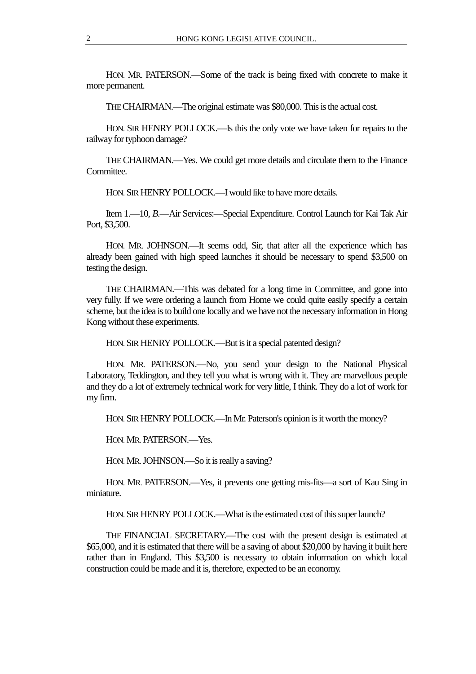HON. MR. PATERSON.—Some of the track is being fixed with concrete to make it more permanent.

THE CHAIRMAN.—The original estimate was \$80,000. This is the actual cost.

HON. SIR HENRY POLLOCK.—Is this the only vote we have taken for repairs to the railway for typhoon damage?

THE CHAIRMAN.—Yes. We could get more details and circulate them to the Finance Committee.

HON. SIR HENRY POLLOCK.—I would like to have more details.

Item 1.—10, *B*.—Air Services:—Special Expenditure. Control Launch for Kai Tak Air Port, \$3,500.

HON. MR. JOHNSON.—It seems odd, Sir, that after all the experience which has already been gained with high speed launches it should be necessary to spend \$3,500 on testing the design.

THE CHAIRMAN.—This was debated for a long time in Committee, and gone into very fully. If we were ordering a launch from Home we could quite easily specify a certain scheme, but the idea is to build one locally and we have not the necessary information in Hong Kong without these experiments.

HON. SIR HENRY POLLOCK.—But is it a special patented design?

HON. MR. PATERSON.—No, you send your design to the National Physical Laboratory, Teddington, and they tell you what is wrong with it. They are marvellous people and they do a lot of extremely technical work for very little, I think. They do a lot of work for my firm.

HON. SIR HENRY POLLOCK.—In Mr. Paterson's opinion is it worth the money?

HON. MR. PATERSON.—Yes.

HON. MR. JOHNSON.—So it is really a saving?

HON. MR. PATERSON.—Yes, it prevents one getting mis-fits—a sort of Kau Sing in miniature.

HON. SIR HENRY POLLOCK.—What is the estimated cost of this super launch?

THE FINANCIAL SECRETARY.—The cost with the present design is estimated at \$65,000, and it is estimated that there will be a saving of about \$20,000 by having it built here rather than in England. This \$3,500 is necessary to obtain information on which local construction could be made and it is, therefore, expected to be an economy.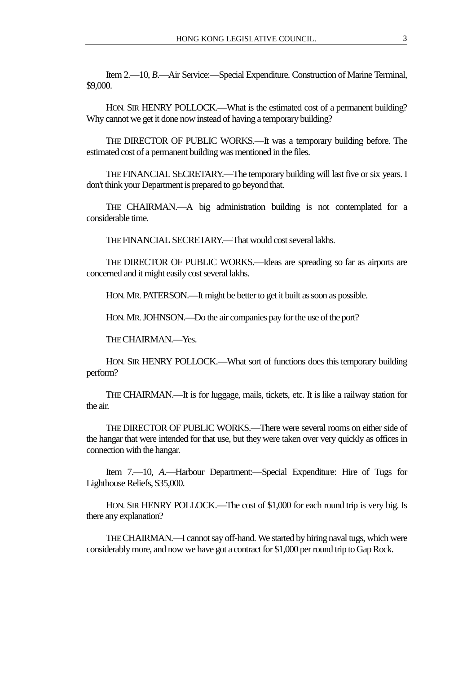Item 2.—10, *B*.—Air Service:—Special Expenditure. Construction of Marine Terminal, \$9,000.

HON. SIR HENRY POLLOCK.—What is the estimated cost of a permanent building? Why cannot we get it done now instead of having a temporary building?

THE DIRECTOR OF PUBLIC WORKS.—It was a temporary building before. The estimated cost of a permanent building was mentioned in the files.

THE FINANCIAL SECRETARY.—The temporary building will lastfive or six years. I don't think your Department is prepared to go beyond that.

THE CHAIRMAN.—A big administration building is not contemplated for a considerable time.

THE FINANCIAL SECRETARY.—That would cost several lakhs.

THE DIRECTOR OF PUBLIC WORKS.—Ideas are spreading so far as airports are concerned and it might easily cost several lakhs.

HON. MR. PATERSON.—It might be better to get it built as soon as possible.

HON. MR. JOHNSON.—Do the air companies pay for the use of the port?

THE CHAIRMAN.—Yes.

HON. SIR HENRY POLLOCK.—What sort of functions does this temporary building perform?

THE CHAIRMAN.—It is for luggage, mails, tickets, etc. It islike a railway station for the air.

THE DIRECTOR OF PUBLIC WORKS.—There were several rooms on either side of the hangar that were intended for that use, but theywere taken over very quickly as offices in connection with the hangar.

Item 7.—10, *A*.—Harbour Department:—Special Expenditure: Hire of Tugs for Lighthouse Reliefs, \$35,000.

HON. SIR HENRY POLLOCK.—The cost of \$1,000 for each round trip is very big. Is there any explanation?

THE CHAIRMAN.—I cannot say off-hand. We started by hiring naval tugs, which were considerably more, and now we have got a contract for \$1,000 per round trip to Gap Rock.